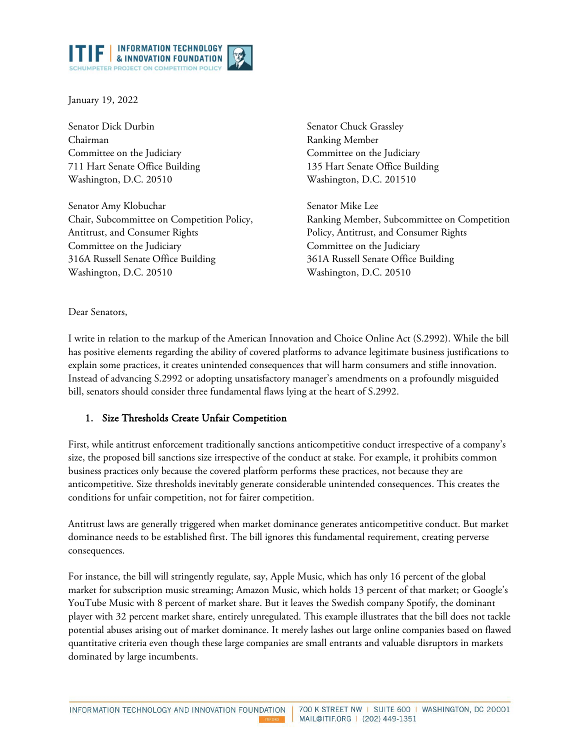

January 19, 2022

Senator Dick Durbin Chairman Committee on the Judiciary 711 Hart Senate Office Building Washington, D.C. 20510

Senator Amy Klobuchar Chair, Subcommittee on Competition Policy, Antitrust, and Consumer Rights Committee on the Judiciary 316A Russell Senate Office Building Washington, D.C. 20510

Senator Chuck Grassley Ranking Member Committee on the Judiciary 135 Hart Senate Office Building Washington, D.C. 201510

Senator Mike Lee Ranking Member, Subcommittee on Competition Policy, Antitrust, and Consumer Rights Committee on the Judiciary 361A Russell Senate Office Building Washington, D.C. 20510

Dear Senators,

I write in relation to the markup of the American Innovation and Choice Online Act (S.2992). While the bill has positive elements regarding the ability of covered platforms to advance legitimate business justifications to explain some practices, it creates unintended consequences that will harm consumers and stifle innovation. Instead of advancing S.2992 or adopting unsatisfactory manager's amendments on a profoundly misguided bill, senators should consider three fundamental flaws lying at the heart of S.2992.

## 1. Size Thresholds Create Unfair Competition

First, while antitrust enforcement traditionally sanctions anticompetitive conduct irrespective of a company's size, the proposed bill sanctions size irrespective of the conduct at stake. For example, it prohibits common business practices only because the covered platform performs these practices, not because they are anticompetitive. Size thresholds inevitably generate considerable unintended consequences. This creates the conditions for unfair competition, not for fairer competition.

Antitrust laws are generally triggered when market dominance generates anticompetitive conduct. But market dominance needs to be established first. The bill ignores this fundamental requirement, creating perverse consequences.

For instance, the bill will stringently regulate, say, Apple Music, which has only 16 percent of the global market for subscription music streaming; Amazon Music, which holds 13 percent of that market; or Google's YouTube Music with 8 percent of market share. But it leaves the Swedish company Spotify, the dominant player with 32 percent market share, entirely unregulated. This example illustrates that the bill does not tackle potential abuses arising out of market dominance. It merely lashes out large online companies based on flawed quantitative criteria even though these large companies are small entrants and valuable disruptors in markets dominated by large incumbents.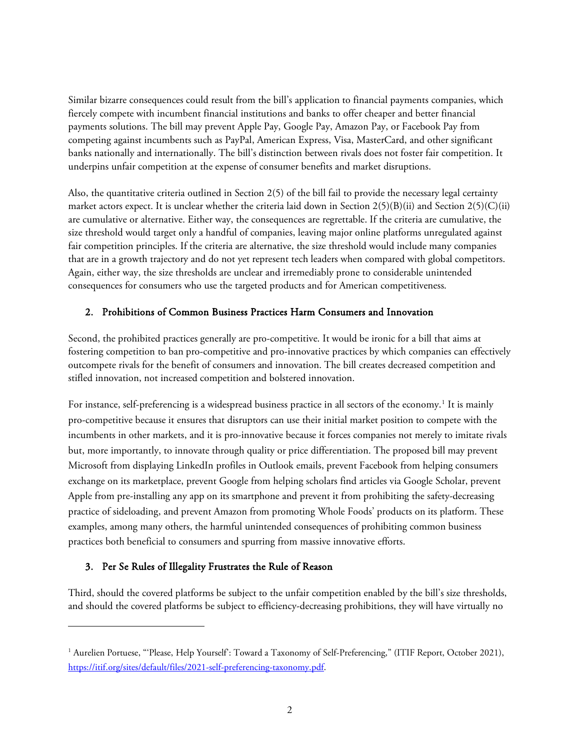Similar bizarre consequences could result from the bill's application to financial payments companies, which fiercely compete with incumbent financial institutions and banks to offer cheaper and better financial payments solutions. The bill may prevent Apple Pay, Google Pay, Amazon Pay, or Facebook Pay from competing against incumbents such as PayPal, American Express, Visa, MasterCard, and other significant banks nationally and internationally. The bill's distinction between rivals does not foster fair competition. It underpins unfair competition at the expense of consumer benefits and market disruptions.

Also, the quantitative criteria outlined in Section 2(5) of the bill fail to provide the necessary legal certainty market actors expect. It is unclear whether the criteria laid down in Section  $2(5)(B)(ii)$  and Section  $2(5)(C)(ii)$ are cumulative or alternative. Either way, the consequences are regrettable. If the criteria are cumulative, the size threshold would target only a handful of companies, leaving major online platforms unregulated against fair competition principles. If the criteria are alternative, the size threshold would include many companies that are in a growth trajectory and do not yet represent tech leaders when compared with global competitors. Again, either way, the size thresholds are unclear and irremediably prone to considerable unintended consequences for consumers who use the targeted products and for American competitiveness.

## 2. Prohibitions of Common Business Practices Harm Consumers and Innovation

Second, the prohibited practices generally are pro-competitive. It would be ironic for a bill that aims at fostering competition to ban pro-competitive and pro-innovative practices by which companies can effectively outcompete rivals for the benefit of consumers and innovation. The bill creates decreased competition and stifled innovation, not increased competition and bolstered innovation.

For instance, self-preferencing is a widespread business practice in all sectors of the economy.<sup>[1](#page-1-0)</sup> It is mainly pro-competitive because it ensures that disruptors can use their initial market position to compete with the incumbents in other markets, and it is pro-innovative because it forces companies not merely to imitate rivals but, more importantly, to innovate through quality or price differentiation. The proposed bill may prevent Microsoft from displaying LinkedIn profiles in Outlook emails, prevent Facebook from helping consumers exchange on its marketplace, prevent Google from helping scholars find articles via Google Scholar, prevent Apple from pre-installing any app on its smartphone and prevent it from prohibiting the safety-decreasing practice of sideloading, and prevent Amazon from promoting Whole Foods' products on its platform. These examples, among many others, the harmful unintended consequences of prohibiting common business practices both beneficial to consumers and spurring from massive innovative efforts.

## 3. Per Se Rules of Illegality Frustrates the Rule of Reason

Third, should the covered platforms be subject to the unfair competition enabled by the bill's size thresholds, and should the covered platforms be subject to efficiency-decreasing prohibitions, they will have virtually no

<span id="page-1-0"></span><sup>&</sup>lt;sup>1</sup> Aurelien Portuese, "'Please, Help Yourself': Toward a Taxonomy of Self-Preferencing," (ITIF Report, October 2021), [https://itif.org/sites/default/files/2021-self-preferencing-taxonomy.pdf.](https://itif.org/sites/default/files/2021-self-preferencing-taxonomy.pdf)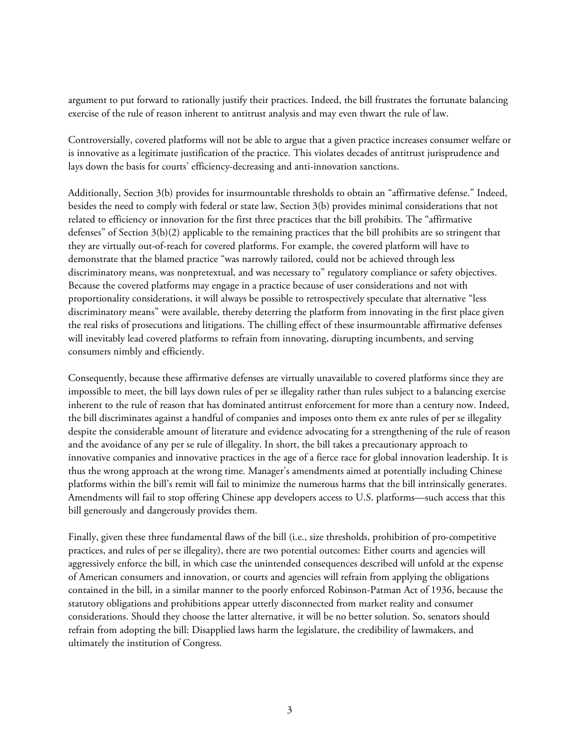argument to put forward to rationally justify their practices. Indeed, the bill frustrates the fortunate balancing exercise of the rule of reason inherent to antitrust analysis and may even thwart the rule of law.

Controversially, covered platforms will not be able to argue that a given practice increases consumer welfare or is innovative as a legitimate justification of the practice. This violates decades of antitrust jurisprudence and lays down the basis for courts' efficiency-decreasing and anti-innovation sanctions.

Additionally, Section 3(b) provides for insurmountable thresholds to obtain an "affirmative defense." Indeed, besides the need to comply with federal or state law, Section 3(b) provides minimal considerations that not related to efficiency or innovation for the first three practices that the bill prohibits. The "affirmative defenses" of Section 3(b)(2) applicable to the remaining practices that the bill prohibits are so stringent that they are virtually out-of-reach for covered platforms. For example, the covered platform will have to demonstrate that the blamed practice "was narrowly tailored, could not be achieved through less discriminatory means, was nonpretextual, and was necessary to" regulatory compliance or safety objectives. Because the covered platforms may engage in a practice because of user considerations and not with proportionality considerations, it will always be possible to retrospectively speculate that alternative "less discriminatory means" were available, thereby deterring the platform from innovating in the first place given the real risks of prosecutions and litigations. The chilling effect of these insurmountable affirmative defenses will inevitably lead covered platforms to refrain from innovating, disrupting incumbents, and serving consumers nimbly and efficiently.

Consequently, because these affirmative defenses are virtually unavailable to covered platforms since they are impossible to meet, the bill lays down rules of per se illegality rather than rules subject to a balancing exercise inherent to the rule of reason that has dominated antitrust enforcement for more than a century now. Indeed, the bill discriminates against a handful of companies and imposes onto them ex ante rules of per se illegality despite the considerable amount of literature and evidence advocating for a strengthening of the rule of reason and the avoidance of any per se rule of illegality. In short, the bill takes a precautionary approach to innovative companies and innovative practices in the age of a fierce race for global innovation leadership. It is thus the wrong approach at the wrong time. Manager's amendments aimed at potentially including Chinese platforms within the bill's remit will fail to minimize the numerous harms that the bill intrinsically generates. Amendments will fail to stop offering Chinese app developers access to U.S. platforms—such access that this bill generously and dangerously provides them.

Finally, given these three fundamental flaws of the bill (i.e., size thresholds, prohibition of pro-competitive practices, and rules of per se illegality), there are two potential outcomes: Either courts and agencies will aggressively enforce the bill, in which case the unintended consequences described will unfold at the expense of American consumers and innovation, or courts and agencies will refrain from applying the obligations contained in the bill, in a similar manner to the poorly enforced Robinson-Patman Act of 1936, because the statutory obligations and prohibitions appear utterly disconnected from market reality and consumer considerations. Should they choose the latter alternative, it will be no better solution. So, senators should refrain from adopting the bill: Disapplied laws harm the legislature, the credibility of lawmakers, and ultimately the institution of Congress.